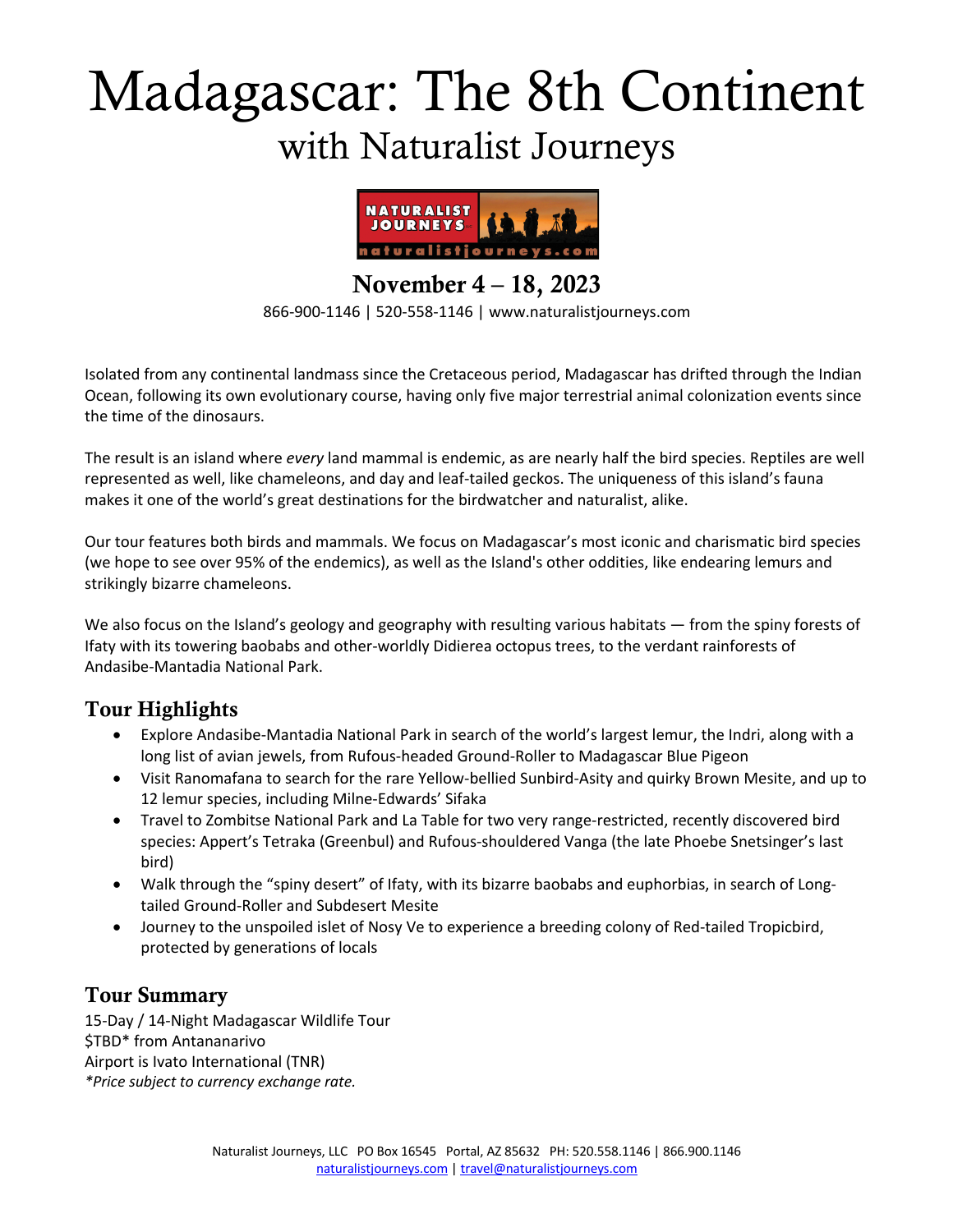# Madagascar: The 8th Continent with Naturalist Journeys



November 4 – 18, 2023

866-900-1146 | 520-558-1146 | www.naturalistjourneys.com

Isolated from any continental landmass since the Cretaceous period, Madagascar has drifted through the Indian Ocean, following its own evolutionary course, having only five major terrestrial animal colonization events since the time of the dinosaurs.

The result is an island where *every* land mammal is endemic, as are nearly half the bird species. Reptiles are well represented as well, like chameleons, and day and leaf-tailed geckos. The uniqueness of this island's fauna makes it one of the world's great destinations for the birdwatcher and naturalist, alike.

Our tour features both birds and mammals. We focus on Madagascar's most iconic and charismatic bird species (we hope to see over 95% of the endemics), as well as the Island's other oddities, like endearing lemurs and strikingly bizarre chameleons.

We also focus on the Island's geology and geography with resulting various habitats — from the spiny forests of Ifaty with its towering baobabs and other-worldly Didierea octopus trees, to the verdant rainforests of Andasibe-Mantadia National Park.

## Tour Highlights

- Explore Andasibe-Mantadia National Park in search of the world's largest lemur, the Indri, along with a long list of avian jewels, from Rufous-headed Ground-Roller to Madagascar Blue Pigeon
- Visit Ranomafana to search for the rare Yellow-bellied Sunbird-Asity and quirky Brown Mesite, and up to 12 lemur species, including Milne-Edwards' Sifaka
- Travel to Zombitse National Park and La Table for two very range-restricted, recently discovered bird species: Appert's Tetraka (Greenbul) and Rufous-shouldered Vanga (the late Phoebe Snetsinger's last bird)
- Walk through the "spiny desert" of Ifaty, with its bizarre baobabs and euphorbias, in search of Longtailed Ground-Roller and Subdesert Mesite
- Journey to the unspoiled islet of Nosy Ve to experience a breeding colony of Red-tailed Tropicbird, protected by generations of locals

## Tour Summary

15-Day / 14-Night Madagascar Wildlife Tour \$TBD\* from Antananarivo Airport is Ivato International (TNR) *\*Price subject to currency exchange rate.*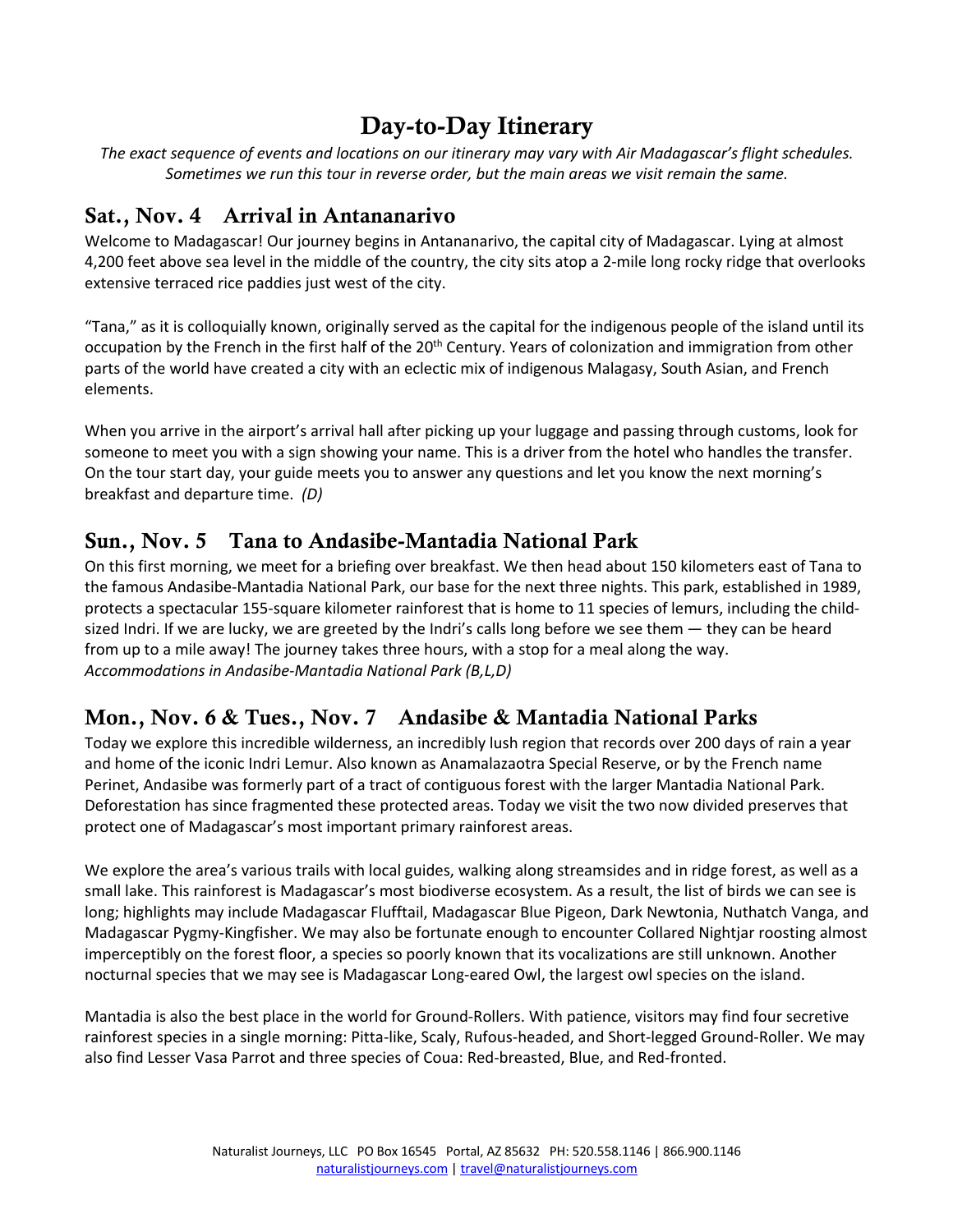# Day-to-Day Itinerary

*The exact sequence of events and locations on our itinerary may vary with Air Madagascar's flight schedules. Sometimes we run this tour in reverse order, but the main areas we visit remain the same.*

## Sat., Nov. 4 Arrival in Antananarivo

Welcome to Madagascar! Our journey begins in Antananarivo, the capital city of Madagascar. Lying at almost 4,200 feet above sea level in the middle of the country, the city sits atop a 2-mile long rocky ridge that overlooks extensive terraced rice paddies just west of the city.

"Tana," as it is colloquially known, originally served as the capital for the indigenous people of the island until its occupation by the French in the first half of the 20<sup>th</sup> Century. Years of colonization and immigration from other parts of the world have created a city with an eclectic mix of indigenous Malagasy, South Asian, and French elements.

When you arrive in the airport's arrival hall after picking up your luggage and passing through customs, look for someone to meet you with a sign showing your name. This is a driver from the hotel who handles the transfer. On the tour start day, your guide meets you to answer any questions and let you know the next morning's breakfast and departure time. *(D)*

## Sun., Nov. 5 Tana to Andasibe-Mantadia National Park

On this first morning, we meet for a briefing over breakfast. We then head about 150 kilometers east of Tana to the famous Andasibe-Mantadia National Park, our base for the next three nights. This park, established in 1989, protects a spectacular 155-square kilometer rainforest that is home to 11 species of lemurs, including the childsized Indri. If we are lucky, we are greeted by the Indri's calls long before we see them — they can be heard from up to a mile away! The journey takes three hours, with a stop for a meal along the way. *Accommodations in Andasibe-Mantadia National Park (B,L,D)*

## Mon., Nov. 6 & Tues., Nov. 7 Andasibe & Mantadia National Parks

Today we explore this incredible wilderness, an incredibly lush region that records over 200 days of rain a year and home of the iconic Indri Lemur. Also known as Anamalazaotra Special Reserve, or by the French name Perinet, Andasibe was formerly part of a tract of contiguous forest with the larger Mantadia National Park. Deforestation has since fragmented these protected areas. Today we visit the two now divided preserves that protect one of Madagascar's most important primary rainforest areas.

We explore the area's various trails with local guides, walking along streamsides and in ridge forest, as well as a small lake. This rainforest is Madagascar's most biodiverse ecosystem. As a result, the list of birds we can see is long; highlights may include Madagascar Flufftail, Madagascar Blue Pigeon, Dark Newtonia, Nuthatch Vanga, and Madagascar Pygmy-Kingfisher. We may also be fortunate enough to encounter Collared Nightjar roosting almost imperceptibly on the forest floor, a species so poorly known that its vocalizations are still unknown. Another nocturnal species that we may see is Madagascar Long-eared Owl, the largest owl species on the island.

Mantadia is also the best place in the world for Ground-Rollers. With patience, visitors may find four secretive rainforest species in a single morning: Pitta-like, Scaly, Rufous-headed, and Short-legged Ground-Roller. We may also find Lesser Vasa Parrot and three species of Coua: Red-breasted, Blue, and Red-fronted.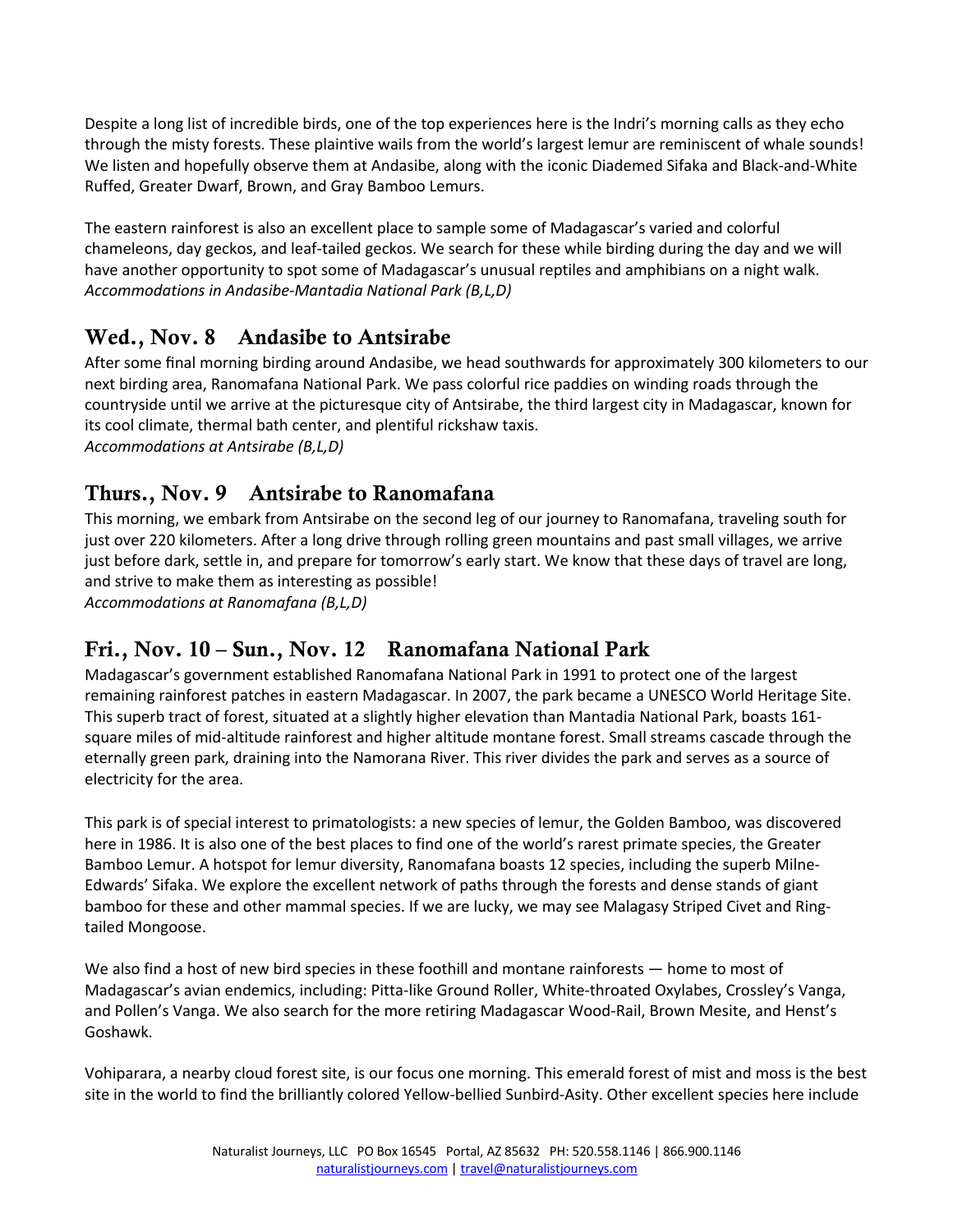Despite a long list of incredible birds, one of the top experiences here is the Indri's morning calls as they echo through the misty forests. These plaintive wails from the world's largest lemur are reminiscent of whale sounds! We listen and hopefully observe them at Andasibe, along with the iconic Diademed Sifaka and Black-and-White Ruffed, Greater Dwarf, Brown, and Gray Bamboo Lemurs.

The eastern rainforest is also an excellent place to sample some of Madagascar's varied and colorful chameleons, day geckos, and leaf-tailed geckos. We search for these while birding during the day and we will have another opportunity to spot some of Madagascar's unusual reptiles and amphibians on a night walk. *Accommodations in Andasibe-Mantadia National Park (B,L,D)* 

## Wed., Nov. 8 Andasibe to Antsirabe

After some final morning birding around Andasibe, we head southwards for approximately 300 kilometers to our next birding area, Ranomafana National Park. We pass colorful rice paddies on winding roads through the countryside until we arrive at the picturesque city of Antsirabe, the third largest city in Madagascar, known for its cool climate, thermal bath center, and plentiful rickshaw taxis. *Accommodations at Antsirabe (B,L,D)*

## Thurs., Nov. 9 Antsirabe to Ranomafana

This morning, we embark from Antsirabe on the second leg of our journey to Ranomafana, traveling south for just over 220 kilometers. After a long drive through rolling green mountains and past small villages, we arrive just before dark, settle in, and prepare for tomorrow's early start. We know that these days of travel are long, and strive to make them as interesting as possible!

*Accommodations at Ranomafana (B,L,D)*

## Fri., Nov. 10 – Sun., Nov. 12 Ranomafana National Park

Madagascar's government established Ranomafana National Park in 1991 to protect one of the largest remaining rainforest patches in eastern Madagascar. In 2007, the park became a UNESCO World Heritage Site. This superb tract of forest, situated at a slightly higher elevation than Mantadia National Park, boasts 161 square miles of mid-altitude rainforest and higher altitude montane forest. Small streams cascade through the eternally green park, draining into the Namorana River. This river divides the park and serves as a source of electricity for the area.

This park is of special interest to primatologists: a new species of lemur, the Golden Bamboo, was discovered here in 1986. It is also one of the best places to find one of the world's rarest primate species, the Greater Bamboo Lemur. A hotspot for lemur diversity, Ranomafana boasts 12 species, including the superb Milne-Edwards' Sifaka. We explore the excellent network of paths through the forests and dense stands of giant bamboo for these and other mammal species. If we are lucky, we may see Malagasy Striped Civet and Ringtailed Mongoose.

We also find a host of new bird species in these foothill and montane rainforests — home to most of Madagascar's avian endemics, including: Pitta-like Ground Roller, White-throated Oxylabes, Crossley's Vanga, and Pollen's Vanga. We also search for the more retiring Madagascar Wood-Rail, Brown Mesite, and Henst's Goshawk.

Vohiparara, a nearby cloud forest site, is our focus one morning. This emerald forest of mist and moss is the best site in the world to find the brilliantly colored Yellow-bellied Sunbird-Asity. Other excellent species here include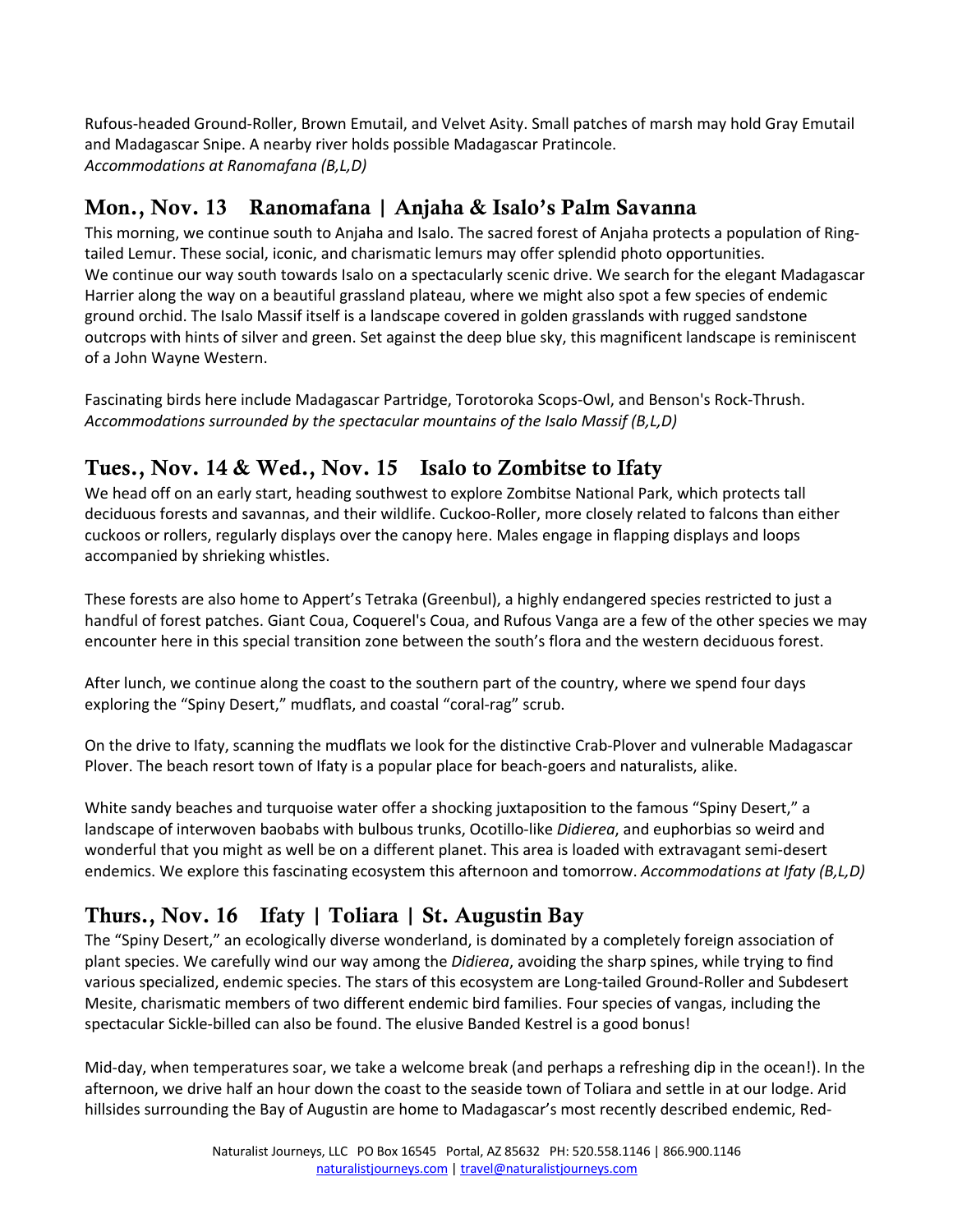Rufous-headed Ground-Roller, Brown Emutail, and Velvet Asity. Small patches of marsh may hold Gray Emutail and Madagascar Snipe. A nearby river holds possible Madagascar Pratincole. *Accommodations at Ranomafana (B,L,D)* 

## Mon., Nov. 13 Ranomafana | Anjaha & Isalo's Palm Savanna

This morning, we continue south to Anjaha and Isalo. The sacred forest of Anjaha protects a population of Ringtailed Lemur. These social, iconic, and charismatic lemurs may offer splendid photo opportunities. We continue our way south towards Isalo on a spectacularly scenic drive. We search for the elegant Madagascar Harrier along the way on a beautiful grassland plateau, where we might also spot a few species of endemic ground orchid. The Isalo Massif itself is a landscape covered in golden grasslands with rugged sandstone outcrops with hints of silver and green. Set against the deep blue sky, this magnificent landscape is reminiscent of a John Wayne Western.

Fascinating birds here include Madagascar Partridge, Torotoroka Scops-Owl, and Benson's Rock-Thrush. *Accommodations surrounded by the spectacular mountains of the Isalo Massif (B,L,D)*

## Tues., Nov. 14 & Wed., Nov. 15 Isalo to Zombitse to Ifaty

We head off on an early start, heading southwest to explore Zombitse National Park, which protects tall deciduous forests and savannas, and their wildlife. Cuckoo-Roller, more closely related to falcons than either cuckoos or rollers, regularly displays over the canopy here. Males engage in flapping displays and loops accompanied by shrieking whistles.

These forests are also home to Appert's Tetraka (Greenbul), a highly endangered species restricted to just a handful of forest patches. Giant Coua, Coquerel's Coua, and Rufous Vanga are a few of the other species we may encounter here in this special transition zone between the south's flora and the western deciduous forest.

After lunch, we continue along the coast to the southern part of the country, where we spend four days exploring the "Spiny Desert," mudflats, and coastal "coral-rag" scrub.

On the drive to Ifaty, scanning the mudflats we look for the distinctive Crab-Plover and vulnerable Madagascar Plover. The beach resort town of Ifaty is a popular place for beach-goers and naturalists, alike.

White sandy beaches and turquoise water offer a shocking juxtaposition to the famous "Spiny Desert," a landscape of interwoven baobabs with bulbous trunks, Ocotillo-like *Didierea*, and euphorbias so weird and wonderful that you might as well be on a different planet. This area is loaded with extravagant semi-desert endemics. We explore this fascinating ecosystem this afternoon and tomorrow. *Accommodations at Ifaty (B,L,D)* 

## Thurs., Nov. 16 Ifaty | Toliara | St. Augustin Bay

The "Spiny Desert," an ecologically diverse wonderland, is dominated by a completely foreign association of plant species. We carefully wind our way among the *Didierea*, avoiding the sharp spines, while trying to find various specialized, endemic species. The stars of this ecosystem are Long-tailed Ground-Roller and Subdesert Mesite, charismatic members of two different endemic bird families. Four species of vangas, including the spectacular Sickle-billed can also be found. The elusive Banded Kestrel is a good bonus!

Mid-day, when temperatures soar, we take a welcome break (and perhaps a refreshing dip in the ocean!). In the afternoon, we drive half an hour down the coast to the seaside town of Toliara and settle in at our lodge. Arid hillsides surrounding the Bay of Augustin are home to Madagascar's most recently described endemic, Red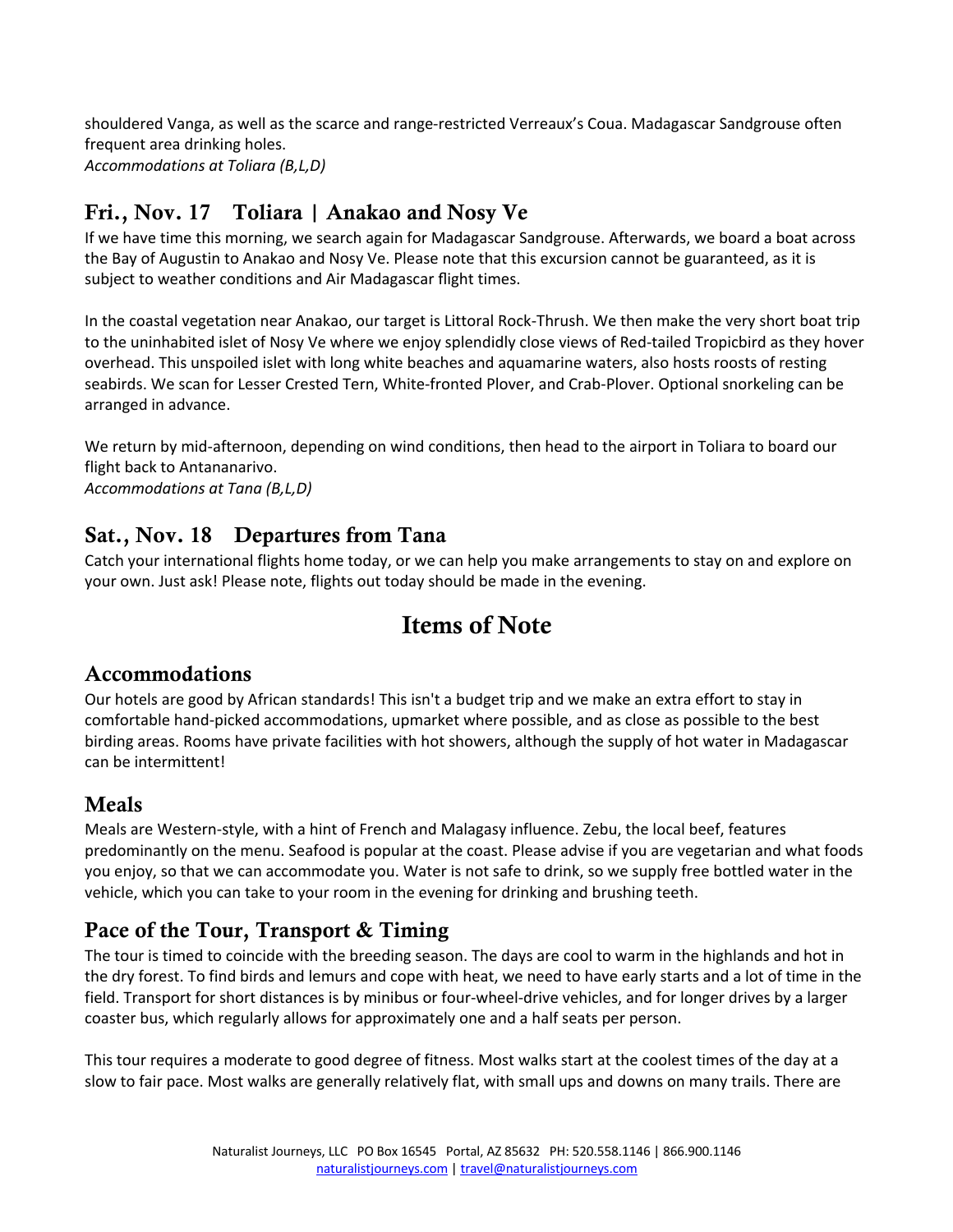shouldered Vanga, as well as the scarce and range-restricted Verreaux's Coua. Madagascar Sandgrouse often frequent area drinking holes. *Accommodations at Toliara (B,L,D)*

## Fri., Nov. 17 Toliara | Anakao and Nosy Ve

If we have time this morning, we search again for Madagascar Sandgrouse. Afterwards, we board a boat across the Bay of Augustin to Anakao and Nosy Ve. Please note that this excursion cannot be guaranteed, as it is subject to weather conditions and Air Madagascar flight times.

In the coastal vegetation near Anakao, our target is Littoral Rock-Thrush. We then make the very short boat trip to the uninhabited islet of Nosy Ve where we enjoy splendidly close views of Red-tailed Tropicbird as they hover overhead. This unspoiled islet with long white beaches and aquamarine waters, also hosts roosts of resting seabirds. We scan for Lesser Crested Tern, White-fronted Plover, and Crab-Plover. Optional snorkeling can be arranged in advance.

We return by mid-afternoon, depending on wind conditions, then head to the airport in Toliara to board our flight back to Antananarivo. *Accommodations at Tana (B,L,D)* 

## Sat., Nov. 18 Departures from Tana

Catch your international flights home today, or we can help you make arrangements to stay on and explore on your own. Just ask! Please note, flights out today should be made in the evening.

# Items of Note

#### Accommodations

Our hotels are good by African standards! This isn't a budget trip and we make an extra effort to stay in comfortable hand-picked accommodations, upmarket where possible, and as close as possible to the best birding areas. Rooms have private facilities with hot showers, although the supply of hot water in Madagascar can be intermittent!

## Meals

Meals are Western-style, with a hint of French and Malagasy influence. Zebu, the local beef, features predominantly on the menu. Seafood is popular at the coast. Please advise if you are vegetarian and what foods you enjoy, so that we can accommodate you. Water is not safe to drink, so we supply free bottled water in the vehicle, which you can take to your room in the evening for drinking and brushing teeth.

## Pace of the Tour, Transport & Timing

The tour is timed to coincide with the breeding season. The days are cool to warm in the highlands and hot in the dry forest. To find birds and lemurs and cope with heat, we need to have early starts and a lot of time in the field. Transport for short distances is by minibus or four-wheel-drive vehicles, and for longer drives by a larger coaster bus, which regularly allows for approximately one and a half seats per person.

This tour requires a moderate to good degree of fitness. Most walks start at the coolest times of the day at a slow to fair pace. Most walks are generally relatively flat, with small ups and downs on many trails. There are